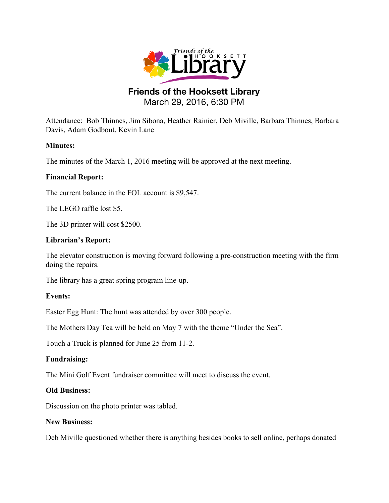

# **Friends of the Hooksett Library** March 29, 2016, 6:30 PM

Attendance: Bob Thinnes, Jim Sibona, Heather Rainier, Deb Miville, Barbara Thinnes, Barbara Davis, Adam Godbout, Kevin Lane

# **Minutes:**

The minutes of the March 1, 2016 meeting will be approved at the next meeting.

# **Financial Report:**

The current balance in the FOL account is \$9,547.

The LEGO raffle lost \$5.

The 3D printer will cost \$2500.

# **Librarian's Report:**

The elevator construction is moving forward following a pre-construction meeting with the firm doing the repairs.

The library has a great spring program line-up.

### **Events:**

Easter Egg Hunt: The hunt was attended by over 300 people.

The Mothers Day Tea will be held on May 7 with the theme "Under the Sea".

Touch a Truck is planned for June 25 from 11-2.

### **Fundraising:**

The Mini Golf Event fundraiser committee will meet to discuss the event.

### **Old Business:**

Discussion on the photo printer was tabled.

### **New Business:**

Deb Miville questioned whether there is anything besides books to sell online, perhaps donated